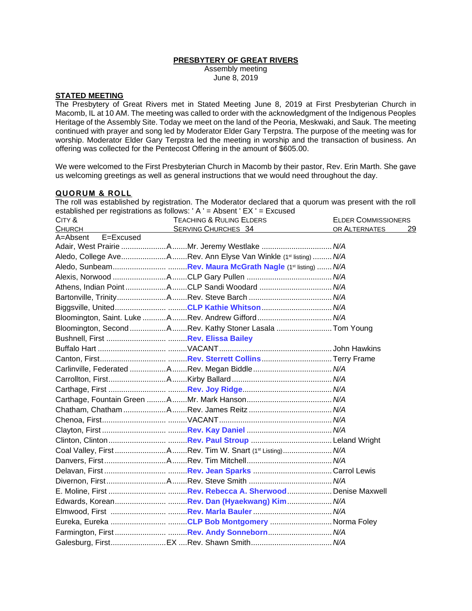## **PRESBYTERY OF GREAT RIVERS**

Assembly meeting June 8, 2019

# **STATED MEETING**

The Presbytery of Great Rivers met in Stated Meeting June 8, 2019 at First Presbyterian Church in Macomb, IL at 10 AM. The meeting was called to order with the acknowledgment of the Indigenous Peoples Heritage of the Assembly Site. Today we meet on the land of the Peoria, Meskwaki, and Sauk. The meeting continued with prayer and song led by Moderator Elder Gary Terpstra. The purpose of the meeting was for worship. Moderator Elder Gary Terpstra led the meeting in worship and the transaction of business. An offering was collected for the Pentecost Offering in the amount of \$605.00.

We were welcomed to the First Presbyterian Church in Macomb by their pastor, Rev. Erin Marth. She gave us welcoming greetings as well as general instructions that we would need throughout the day.

#### **QUORUM & ROLL**

The roll was established by registration. The Moderator declared that a quorum was present with the roll established per registrations as follows: ' A ' = Absent ' EX ' = Excused

| CITY &                    | <b>TEACHING &amp; RULING ELDERS</b>                             | <b>ELDER COMMISSIONERS</b> |    |
|---------------------------|-----------------------------------------------------------------|----------------------------|----|
| <b>CHURCH</b>             | <b>SERVING CHURCHES 34</b>                                      | OR ALTERNATES              | 29 |
| E=Excused<br>$A =$ Absent |                                                                 |                            |    |
|                           | Adair, West Prairie AMr. Jeremy Westlake  N/A                   |                            |    |
|                           | Aledo, College AveARev. Ann Elyse Van Winkle (1st listing)  N/A |                            |    |
|                           |                                                                 |                            |    |
|                           |                                                                 |                            |    |
|                           | Athens, Indian PointACLP Sandi Woodard  N/A                     |                            |    |
|                           |                                                                 |                            |    |
|                           | Biggsville, UnitedCLP Kathie Whitson N/A                        |                            |    |
|                           | Bloomington, Saint. Luke ARev. Andrew Gifford  N/A              |                            |    |
|                           | Bloomington, Second ARev. Kathy Stoner Lasala  Tom Young        |                            |    |
|                           |                                                                 |                            |    |
|                           |                                                                 |                            |    |
|                           |                                                                 |                            |    |
|                           |                                                                 |                            |    |
|                           |                                                                 |                            |    |
|                           |                                                                 |                            |    |
|                           |                                                                 |                            |    |
|                           |                                                                 |                            |    |
|                           |                                                                 |                            |    |
|                           |                                                                 |                            |    |
|                           |                                                                 |                            |    |
|                           | Coal Valley, First ARev. Tim W. Snart (1st Listing) N/A         |                            |    |
|                           |                                                                 |                            |    |
|                           |                                                                 |                            |    |
|                           |                                                                 |                            |    |
|                           |                                                                 |                            |    |
|                           |                                                                 |                            |    |
|                           |                                                                 |                            |    |
|                           | Eureka, Eureka CLP Bob Montgomery  Norma Foley                  |                            |    |
|                           |                                                                 |                            |    |
|                           |                                                                 |                            |    |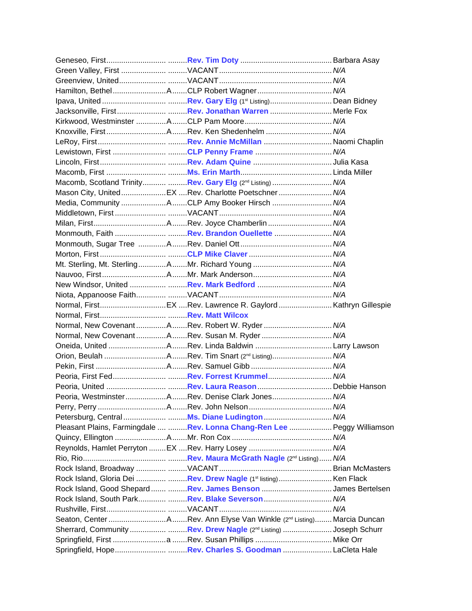|  | Lewistown, First CLP Penny Frame  N/A                                          |  |
|--|--------------------------------------------------------------------------------|--|
|  |                                                                                |  |
|  |                                                                                |  |
|  | Macomb, Scotland Trinity Rev. Gary Elg (2nd Listing) N/A                       |  |
|  | Mason City, UnitedEX Rev. Charlotte Poetschner N/A                             |  |
|  | Media, Community ACLP Amy Booker Hirsch  N/A                                   |  |
|  |                                                                                |  |
|  |                                                                                |  |
|  |                                                                                |  |
|  |                                                                                |  |
|  |                                                                                |  |
|  |                                                                                |  |
|  |                                                                                |  |
|  |                                                                                |  |
|  |                                                                                |  |
|  |                                                                                |  |
|  |                                                                                |  |
|  | Normal, New CovenantARev. Robert W. Ryder N/A                                  |  |
|  | Normal, New CovenantARev. Susan M. Ryder N/A                                   |  |
|  |                                                                                |  |
|  |                                                                                |  |
|  |                                                                                |  |
|  |                                                                                |  |
|  |                                                                                |  |
|  |                                                                                |  |
|  | Peoria, WestminsterARev. Denise Clark Jones N/A                                |  |
|  |                                                                                |  |
|  |                                                                                |  |
|  | Pleasant Plains, Farmingdale  Rev. Lonna Chang-Ren Lee  Peggy Williamson       |  |
|  |                                                                                |  |
|  |                                                                                |  |
|  |                                                                                |  |
|  |                                                                                |  |
|  | Rock Island, Gloria Dei   Rev. Drew Nagle (1 <sup>st</sup> listing)  Ken Flack |  |
|  | Rock Island, Good Shepard  Rev. James Benson James Bertelsen                   |  |
|  | Rock Island, South Park  Rev. Blake Severson  N/A                              |  |
|  |                                                                                |  |
|  |                                                                                |  |
|  | Sherrard, Community Rev. Drew Nagle (2 <sup>nd</sup> Listing) Joseph Schurr    |  |
|  |                                                                                |  |
|  |                                                                                |  |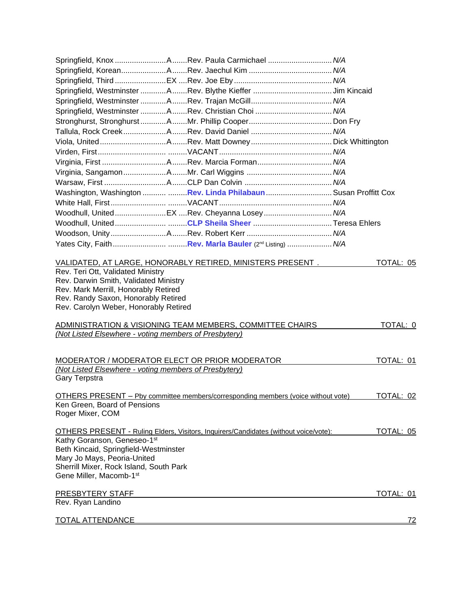|                                                                                                                                                                                                                        | Springfield, Knox Rev. Paula Carmichael  N/A                                                    |           |
|------------------------------------------------------------------------------------------------------------------------------------------------------------------------------------------------------------------------|-------------------------------------------------------------------------------------------------|-----------|
|                                                                                                                                                                                                                        |                                                                                                 |           |
|                                                                                                                                                                                                                        |                                                                                                 |           |
|                                                                                                                                                                                                                        |                                                                                                 |           |
|                                                                                                                                                                                                                        |                                                                                                 |           |
|                                                                                                                                                                                                                        | Springfield, Westminster ARev. Christian Choi  N/A                                              |           |
|                                                                                                                                                                                                                        |                                                                                                 |           |
|                                                                                                                                                                                                                        |                                                                                                 |           |
|                                                                                                                                                                                                                        |                                                                                                 |           |
|                                                                                                                                                                                                                        |                                                                                                 |           |
|                                                                                                                                                                                                                        |                                                                                                 |           |
|                                                                                                                                                                                                                        |                                                                                                 |           |
|                                                                                                                                                                                                                        |                                                                                                 |           |
|                                                                                                                                                                                                                        | Washington, Washington   Rev. Linda Philabaun  Susan Proffitt Cox                               |           |
|                                                                                                                                                                                                                        |                                                                                                 |           |
|                                                                                                                                                                                                                        |                                                                                                 |           |
|                                                                                                                                                                                                                        |                                                                                                 |           |
|                                                                                                                                                                                                                        |                                                                                                 |           |
|                                                                                                                                                                                                                        |                                                                                                 |           |
| Rev. Darwin Smith, Validated Ministry<br>Rev. Mark Merrill, Honorably Retired<br>Rev. Randy Saxon, Honorably Retired<br>Rev. Carolyn Weber, Honorably Retired<br>(Not Listed Elsewhere - voting members of Presbytery) | ADMINISTRATION & VISIONING TEAM MEMBERS, COMMITTEE CHAIRS                                       | TOTAL: 0  |
| (Not Listed Elsewhere - voting members of Presbytery)<br>Gary Terpstra                                                                                                                                                 | MODERATOR / MODERATOR ELECT OR PRIOR MODERATOR                                                  | TOTAL: 01 |
| Ken Green, Board of Pensions<br>Roger Mixer, COM                                                                                                                                                                       | <u><b>OTHERS PRESENT</b> – Pby committee members/corresponding members (voice without vote)</u> | TOTAL: 02 |
| Kathy Goranson, Geneseo-1st<br>Beth Kincaid, Springfield-Westminster<br>Mary Jo Mays, Peoria-United<br>Sherrill Mixer, Rock Island, South Park<br>Gene Miller, Macomb-1st                                              | <b>OTHERS PRESENT - Ruling Elders, Visitors, Inquirers/Candidates (without voice/vote):</b>     | TOTAL: 05 |
|                                                                                                                                                                                                                        |                                                                                                 |           |
| PRESBYTERY STAFF<br>Rev. Ryan Landino                                                                                                                                                                                  |                                                                                                 | TOTAL: 01 |
|                                                                                                                                                                                                                        |                                                                                                 |           |
| <b>TOTAL ATTENDANCE</b>                                                                                                                                                                                                |                                                                                                 | <u>72</u> |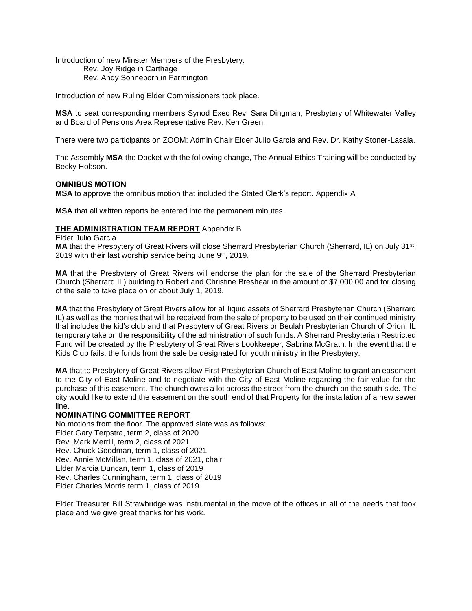Introduction of new Minster Members of the Presbytery: Rev. Joy Ridge in Carthage Rev. Andy Sonneborn in Farmington

Introduction of new Ruling Elder Commissioners took place.

**MSA** to seat corresponding members Synod Exec Rev. Sara Dingman, Presbytery of Whitewater Valley and Board of Pensions Area Representative Rev. Ken Green.

There were two participants on ZOOM: Admin Chair Elder Julio Garcia and Rev. Dr. Kathy Stoner-Lasala.

The Assembly **MSA** the Docket with the following change, The Annual Ethics Training will be conducted by Becky Hobson.

## **OMNIBUS MOTION**

**MSA** to approve the omnibus motion that included the Stated Clerk's report. Appendix A

**MSA** that all written reports be entered into the permanent minutes.

## **THE ADMINISTRATION TEAM REPORT** Appendix B

Elder Julio Garcia

MA that the Presbytery of Great Rivers will close Sherrard Presbyterian Church (Sherrard, IL) on July 31<sup>st</sup>, 2019 with their last worship service being June 9th, 2019.

**MA** that the Presbytery of Great Rivers will endorse the plan for the sale of the Sherrard Presbyterian Church (Sherrard IL) building to Robert and Christine Breshear in the amount of \$7,000.00 and for closing of the sale to take place on or about July 1, 2019.

**MA** that the Presbytery of Great Rivers allow for all liquid assets of Sherrard Presbyterian Church (Sherrard IL) as well as the monies that will be received from the sale of property to be used on their continued ministry that includes the kid's club and that Presbytery of Great Rivers or Beulah Presbyterian Church of Orion, IL temporary take on the responsibility of the administration of such funds. A Sherrard Presbyterian Restricted Fund will be created by the Presbytery of Great Rivers bookkeeper, Sabrina McGrath. In the event that the Kids Club fails, the funds from the sale be designated for youth ministry in the Presbytery.

**MA** that to Presbytery of Great Rivers allow First Presbyterian Church of East Moline to grant an easement to the City of East Moline and to negotiate with the City of East Moline regarding the fair value for the purchase of this easement. The church owns a lot across the street from the church on the south side. The city would like to extend the easement on the south end of that Property for the installation of a new sewer line.

### **NOMINATING COMMITTEE REPORT**

No motions from the floor. The approved slate was as follows: Elder Gary Terpstra, term 2, class of 2020 Rev. Mark Merrill, term 2, class of 2021 Rev. Chuck Goodman, term 1, class of 2021 Rev. Annie McMillan, term 1, class of 2021, chair Elder Marcia Duncan, term 1, class of 2019 Rev. Charles Cunningham, term 1, class of 2019 Elder Charles Morris term 1, class of 2019

Elder Treasurer Bill Strawbridge was instrumental in the move of the offices in all of the needs that took place and we give great thanks for his work.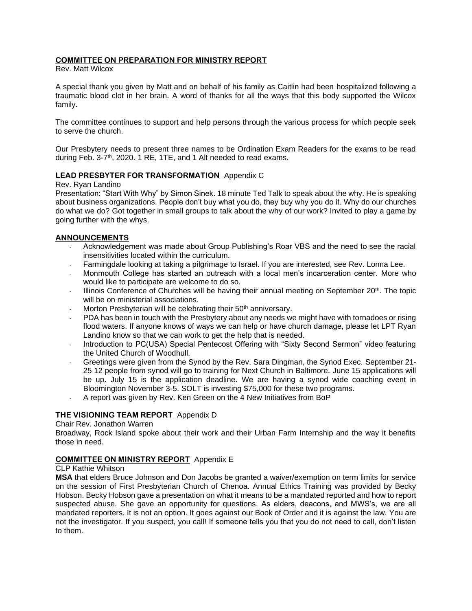## **COMMITTEE ON PREPARATION FOR MINISTRY REPORT**

Rev. Matt Wilcox

A special thank you given by Matt and on behalf of his family as Caitlin had been hospitalized following a traumatic blood clot in her brain. A word of thanks for all the ways that this body supported the Wilcox family.

The committee continues to support and help persons through the various process for which people seek to serve the church.

Our Presbytery needs to present three names to be Ordination Exam Readers for the exams to be read during Feb. 3-7<sup>th</sup>, 2020. 1 RE, 1TE, and 1 Alt needed to read exams.

## **LEAD PRESBYTER FOR TRANSFORMATION** Appendix C

#### Rev. Ryan Landino

Presentation: "Start With Why" by Simon Sinek. 18 minute Ted Talk to speak about the why. He is speaking about business organizations. People don't buy what you do, they buy why you do it. Why do our churches do what we do? Got together in small groups to talk about the why of our work? Invited to play a game by going further with the whys.

### **ANNOUNCEMENTS**

- Acknowledgement was made about Group Publishing's Roar VBS and the need to see the racial insensitivities located within the curriculum.
- Farmingdale looking at taking a pilgrimage to Israel. If you are interested, see Rev. Lonna Lee.
- Monmouth College has started an outreach with a local men's incarceration center. More who would like to participate are welcome to do so.
- Illinois Conference of Churches will be having their annual meeting on September  $20<sup>th</sup>$ . The topic will be on ministerial associations.
- Morton Presbyterian will be celebrating their 50<sup>th</sup> anniversary.
- PDA has been in touch with the Presbytery about any needs we might have with tornadoes or rising flood waters. If anyone knows of ways we can help or have church damage, please let LPT Ryan Landino know so that we can work to get the help that is needed.
- Introduction to PC(USA) Special Pentecost Offering with "Sixty Second Sermon" video featuring the United Church of Woodhull.
- Greetings were given from the Synod by the Rev. Sara Dingman, the Synod Exec. September 21- 25 12 people from synod will go to training for Next Church in Baltimore. June 15 applications will be up. July 15 is the application deadline. We are having a synod wide coaching event in Bloomington November 3-5. SOLT is investing \$75,000 for these two programs.
- A report was given by Rev. Ken Green on the 4 New Initiatives from BoP

### **THE VISIONING TEAM REPORT** Appendix D

### Chair Rev. Jonathon Warren

Broadway, Rock Island spoke about their work and their Urban Farm Internship and the way it benefits those in need.

### **COMMITTEE ON MINISTRY REPORT** Appendix E

### CLP Kathie Whitson

**MSA** that elders Bruce Johnson and Don Jacobs be granted a waiver/exemption on term limits for service on the session of First Presbyterian Church of Chenoa. Annual Ethics Training was provided by Becky Hobson. Becky Hobson gave a presentation on what it means to be a mandated reported and how to report suspected abuse. She gave an opportunity for questions. As elders, deacons, and MWS's, we are all mandated reporters. It is not an option. It goes against our Book of Order and it is against the law. You are not the investigator. If you suspect, you call! If someone tells you that you do not need to call, don't listen to them.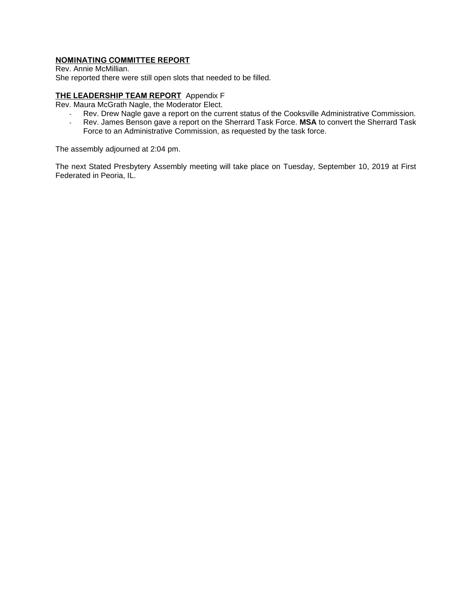# **NOMINATING COMMITTEE REPORT**

Rev. Annie McMillian. She reported there were still open slots that needed to be filled.

# **THE LEADERSHIP TEAM REPORT** Appendix F

Rev. Maura McGrath Nagle, the Moderator Elect.

- Rev. Drew Nagle gave a report on the current status of the Cooksville Administrative Commission.
- Rev. James Benson gave a report on the Sherrard Task Force. **MSA** to convert the Sherrard Task Force to an Administrative Commission, as requested by the task force.

The assembly adjourned at 2:04 pm.

The next Stated Presbytery Assembly meeting will take place on Tuesday, September 10, 2019 at First Federated in Peoria, IL.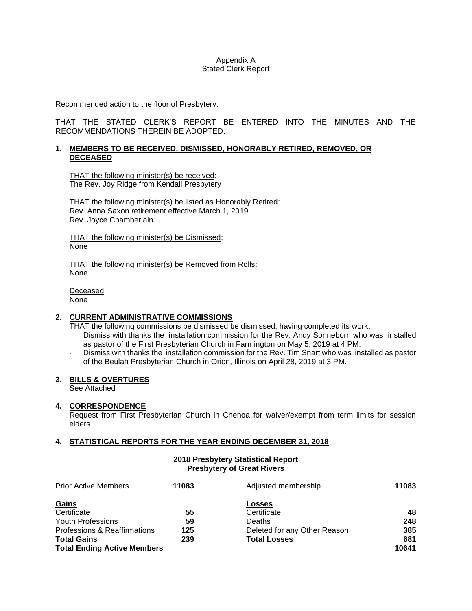### Appendix A Stated Clerk Report

Recommended action to the floor of Presbytery:

THAT THE STATED CLERK'S REPORT BE ENTERED INTO THE MINUTES AND THE RECOMMENDATIONS THEREIN BE ADOPTED.

### **1. MEMBERS TO BE RECEIVED, DISMISSED, HONORABLY RETIRED, REMOVED, OR DECEASED**

THAT the following minister(s) be received: The Rev. Joy Ridge from Kendall Presbytery

THAT the following minister(s) be listed as Honorably Retired: Rev. Anna Saxon retirement effective March 1, 2019. Rev. Joyce Chamberlain

THAT the following minister(s) be Dismissed: None

THAT the following minister(s) be Removed from Rolls: None

Deceased: None

# **2. CURRENT ADMINISTRATIVE COMMISSIONS**

THAT the following commissions be dismissed be dismissed, having completed its work:

- Dismiss with thanks the installation commission for the Rev. Andy Sonneborn who was installed as pastor of the First Presbyterian Church in Farmington on May 5, 2019 at 4 PM.
- Dismiss with thanks the installation commission for the Rev. Tim Snart who was installed as pastor of the Beulah Presbyterian Church in Orion, Illinois on April 28, 2019 at 3 PM.

### **3. BILLS & OVERTURES**

See Attached

### **4. CORRESPONDENCE**

Request from First Presbyterian Church in Chenoa for waiver/exempt from term limits for session elders.

### **4. STATISTICAL REPORTS FOR THE YEAR ENDING DECEMBER 31, 2018**

### **2018 Presbytery Statistical Report Presbytery of Great Rivers**

| <b>Prior Active Members</b>             | 11083 | Adjusted membership          | 11083 |
|-----------------------------------------|-------|------------------------------|-------|
|                                         |       |                              |       |
| Gains                                   |       | <b>Losses</b>                |       |
| Certificate                             | 55    | Certificate                  | 48    |
| Youth Professions                       | 59    | Deaths                       | 248   |
| <b>Professions &amp; Reaffirmations</b> | 125   | Deleted for any Other Reason | 385   |
| <b>Total Gains</b>                      | 239   | <b>Total Losses</b>          | 681   |
| <b>Total Ending Active Members</b>      |       |                              | 10641 |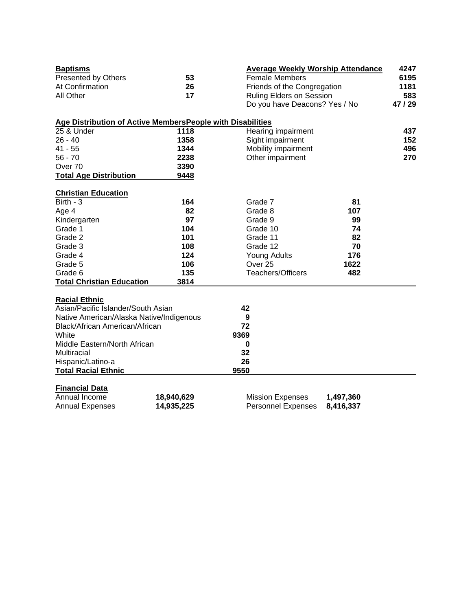| <b>Baptisms</b>                                            |            | <b>Average Weekly Worship Attendance</b> |           | 4247    |  |  |  |
|------------------------------------------------------------|------------|------------------------------------------|-----------|---------|--|--|--|
| Presented by Others                                        | 53         | <b>Female Members</b>                    |           |         |  |  |  |
| At Confirmation                                            | 26         | Friends of the Congregation              | 1181      |         |  |  |  |
| All Other                                                  | 17         | <b>Ruling Elders on Session</b>          |           | 583     |  |  |  |
|                                                            |            | Do you have Deacons? Yes / No            |           | 47 / 29 |  |  |  |
| Age Distribution of Active MembersPeople with Disabilities |            |                                          |           |         |  |  |  |
| 25 & Under                                                 | 1118       | Hearing impairment                       |           |         |  |  |  |
| $26 - 40$                                                  | 1358       | Sight impairment                         |           | 152     |  |  |  |
| $41 - 55$                                                  | 1344       | Mobility impairment                      |           | 496     |  |  |  |
| $56 - 70$                                                  | 2238       | Other impairment                         |           | 270     |  |  |  |
| Over 70                                                    | 3390       |                                          |           |         |  |  |  |
| <b>Total Age Distribution</b>                              | 9448       |                                          |           |         |  |  |  |
| <b>Christian Education</b>                                 |            |                                          |           |         |  |  |  |
| Birth - $3$                                                | 164        | Grade 7                                  | 81        |         |  |  |  |
| Age 4                                                      | 82         | Grade 8                                  | 107       |         |  |  |  |
| Kindergarten                                               | 97         | Grade 9                                  | 99        |         |  |  |  |
| Grade 1                                                    | 104        | Grade 10                                 | 74        |         |  |  |  |
| Grade 2                                                    | 101        | Grade 11                                 | 82        |         |  |  |  |
| Grade 3                                                    | 108        | Grade 12                                 | 70        |         |  |  |  |
| Grade 4                                                    | 124        | <b>Young Adults</b>                      | 176       |         |  |  |  |
| Grade 5                                                    | 106        | Over <sub>25</sub>                       | 1622      |         |  |  |  |
| Grade 6                                                    | 135        | Teachers/Officers                        | 482       |         |  |  |  |
| <b>Total Christian Education</b>                           | 3814       |                                          |           |         |  |  |  |
| <b>Racial Ethnic</b>                                       |            |                                          |           |         |  |  |  |
| Asian/Pacific Islander/South Asian                         |            | 42                                       |           |         |  |  |  |
| Native American/Alaska Native/Indigenous                   |            | 9                                        |           |         |  |  |  |
| Black/African American/African                             |            | 72                                       |           |         |  |  |  |
| White                                                      |            | 9369                                     |           |         |  |  |  |
| Middle Eastern/North African                               |            | 0                                        |           |         |  |  |  |
| <b>Multiracial</b>                                         |            | 32                                       |           |         |  |  |  |
| Hispanic/Latino-a                                          |            | 26                                       |           |         |  |  |  |
| <b>Total Racial Ethnic</b>                                 |            | 9550                                     |           |         |  |  |  |
|                                                            |            |                                          |           |         |  |  |  |
| <b>Financial Data</b>                                      |            |                                          |           |         |  |  |  |
| Annual Income                                              | 18,940,629 | <b>Mission Expenses</b>                  | 1,497,360 |         |  |  |  |
| <b>Annual Expenses</b>                                     | 14,935,225 | <b>Personnel Expenses</b>                | 8,416,337 |         |  |  |  |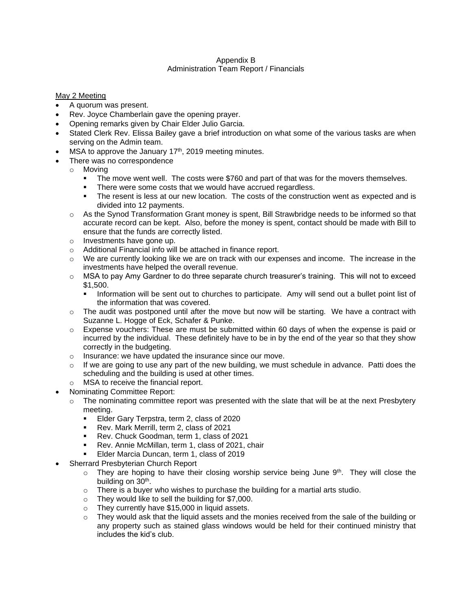## Appendix B Administration Team Report / Financials

# May 2 Meeting

- A quorum was present.
- Rev. Joyce Chamberlain gave the opening prayer.
- Opening remarks given by Chair Elder Julio Garcia.
- Stated Clerk Rev. Elissa Bailey gave a brief introduction on what some of the various tasks are when serving on the Admin team.
- MSA to approve the January  $17<sup>th</sup>$ , 2019 meeting minutes.
- There was no correspondence
	- o Moving
		- The move went well. The costs were \$760 and part of that was for the movers themselves.
		- There were some costs that we would have accrued regardless.
		- **•** The resent is less at our new location. The costs of the construction went as expected and is divided into 12 payments.
		- o As the Synod Transformation Grant money is spent, Bill Strawbridge needs to be informed so that accurate record can be kept. Also, before the money is spent, contact should be made with Bill to ensure that the funds are correctly listed.
		- o Investments have gone up.
		- o Additional Financial info will be attached in finance report.
		- $\circ$  We are currently looking like we are on track with our expenses and income. The increase in the investments have helped the overall revenue.
		- o MSA to pay Amy Gardner to do three separate church treasurer's training. This will not to exceed \$1,500.
			- **•** Information will be sent out to churches to participate. Amy will send out a bullet point list of the information that was covered.
		- $\circ$  The audit was postponed until after the move but now will be starting. We have a contract with Suzanne L. Hogge of Eck, Schafer & Punke.
		- $\circ$  Expense vouchers: These are must be submitted within 60 days of when the expense is paid or incurred by the individual. These definitely have to be in by the end of the year so that they show correctly in the budgeting.
		- o Insurance: we have updated the insurance since our move.
		- $\circ$  If we are going to use any part of the new building, we must schedule in advance. Patti does the scheduling and the building is used at other times.
	- o MSA to receive the financial report.
- Nominating Committee Report:
	- $\circ$  The nominating committee report was presented with the slate that will be at the next Presbytery meeting.
		- Elder Gary Terpstra, term 2, class of 2020<br>■ Rev. Mark Merrill, term 2, class of 2021
		- Rev. Mark Merrill, term 2, class of 2021
		- Rev. Chuck Goodman, term 1, class of 2021
		- Rev. Annie McMillan, term 1, class of 2021, chair
		- **Elder Marcia Duncan, term 1, class of 2019**
- Sherrard Presbyterian Church Report
	- $\circ$  They are hoping to have their closing worship service being June 9<sup>th</sup>. They will close the building on 30<sup>th</sup>.
	- $\circ$  There is a buyer who wishes to purchase the building for a martial arts studio.
	- o They would like to sell the building for \$7,000.
	- o They currently have \$15,000 in liquid assets.
	- $\circ$  They would ask that the liquid assets and the monies received from the sale of the building or any property such as stained glass windows would be held for their continued ministry that includes the kid's club.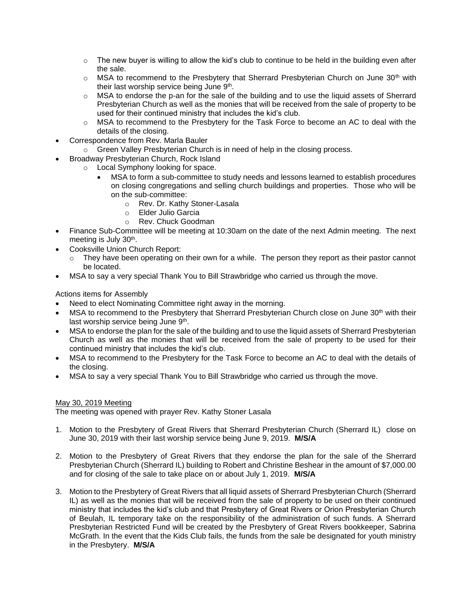- $\circ$  The new buyer is willing to allow the kid's club to continue to be held in the building even after the sale.
- $\circ$  MSA to recommend to the Presbytery that Sherrard Presbyterian Church on June 30<sup>th</sup> with their last worship service being June 9<sup>th</sup>.
- $\circ$  MSA to endorse the p-an for the sale of the building and to use the liquid assets of Sherrard Presbyterian Church as well as the monies that will be received from the sale of property to be used for their continued ministry that includes the kid's club.
- $\circ$  MSA to recommend to the Presbytery for the Task Force to become an AC to deal with the details of the closing.
- Correspondence from Rev. Marla Bauler
	- o Green Valley Presbyterian Church is in need of help in the closing process.
- Broadway Presbyterian Church, Rock Island
	- o Local Symphony looking for space.
		- MSA to form a sub-committee to study needs and lessons learned to establish procedures on closing congregations and selling church buildings and properties. Those who will be on the sub-committee:
			- o Rev. Dr. Kathy Stoner-Lasala
			- o Elder Julio Garcia
			- o Rev. Chuck Goodman
- Finance Sub-Committee will be meeting at 10:30am on the date of the next Admin meeting. The next meeting is July 30<sup>th</sup>.
- Cooksville Union Church Report:
	- $\circ$  They have been operating on their own for a while. The person they report as their pastor cannot be located.
- MSA to say a very special Thank You to Bill Strawbridge who carried us through the move.

Actions items for Assembly

- Need to elect Nominating Committee right away in the morning.
- MSA to recommend to the Presbytery that Sherrard Presbyterian Church close on June 30<sup>th</sup> with their last worship service being June 9<sup>th</sup>.
- MSA to endorse the plan for the sale of the building and to use the liquid assets of Sherrard Presbyterian Church as well as the monies that will be received from the sale of property to be used for their continued ministry that includes the kid's club.
- MSA to recommend to the Presbytery for the Task Force to become an AC to deal with the details of the closing.
- MSA to say a very special Thank You to Bill Strawbridge who carried us through the move.

# May 30, 2019 Meeting

The meeting was opened with prayer Rev. Kathy Stoner Lasala

- 1. Motion to the Presbytery of Great Rivers that Sherrard Presbyterian Church (Sherrard IL) close on June 30, 2019 with their last worship service being June 9, 2019. **M/S/A**
- 2. Motion to the Presbytery of Great Rivers that they endorse the plan for the sale of the Sherrard Presbyterian Church (Sherrard IL) building to Robert and Christine Beshear in the amount of \$7,000.00 and for closing of the sale to take place on or about July 1, 2019. **M/S/A**
- 3. Motion to the Presbytery of Great Rivers that all liquid assets of Sherrard Presbyterian Church (Sherrard IL) as well as the monies that will be received from the sale of property to be used on their continued ministry that includes the kid's club and that Presbytery of Great Rivers or Orion Presbyterian Church of Beulah, IL temporary take on the responsibility of the administration of such funds. A Sherrard Presbyterian Restricted Fund will be created by the Presbytery of Great Rivers bookkeeper, Sabrina McGrath. In the event that the Kids Club fails, the funds from the sale be designated for youth ministry in the Presbytery. **M/S/A**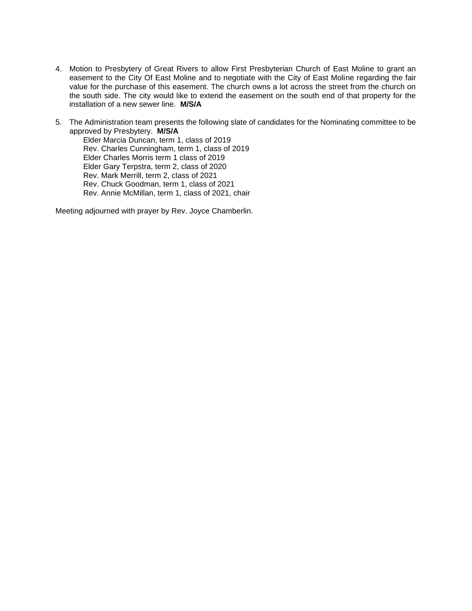- 4. Motion to Presbytery of Great Rivers to allow First Presbyterian Church of East Moline to grant an easement to the City Of East Moline and to negotiate with the City of East Moline regarding the fair value for the purchase of this easement. The church owns a lot across the street from the church on the south side. The city would like to extend the easement on the south end of that property for the installation of a new sewer line. **M/S/A**
- 5. The Administration team presents the following slate of candidates for the Nominating committee to be approved by Presbytery. **M/S/A**

Elder Marcia Duncan, term 1, class of 2019 Rev. Charles Cunningham, term 1, class of 2019 Elder Charles Morris term 1 class of 2019 Elder Gary Terpstra, term 2, class of 2020 Rev. Mark Merrill, term 2, class of 2021 Rev. Chuck Goodman, term 1, class of 2021 Rev. Annie McMillan, term 1, class of 2021, chair

Meeting adjourned with prayer by Rev. Joyce Chamberlin.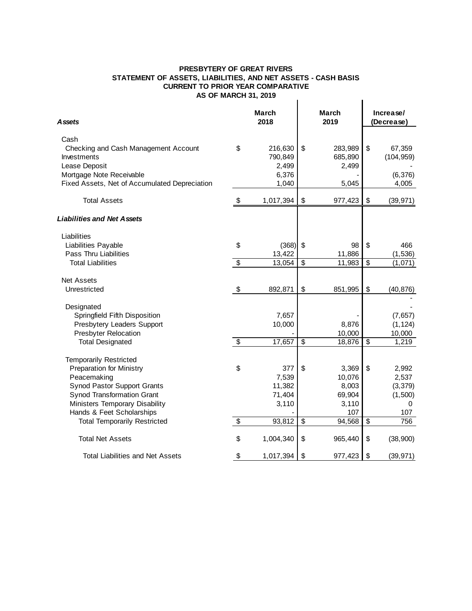#### **PRESBYTERY OF GREAT RIVERS STATEMENT OF ASSETS, LIABILITIES, AND NET ASSETS - CASH BASIS CURRENT TO PRIOR YEAR COMPARATIVEAS OF MARCH 31, 2019**  $\mathbf{I}$

|                                                                     | ייס ווסמרויו            |                      |                 |                      |                         |              |  |
|---------------------------------------------------------------------|-------------------------|----------------------|-----------------|----------------------|-------------------------|--------------|--|
| Assets                                                              |                         | <b>March</b><br>2018 |                 | <b>March</b><br>2019 | Increase/<br>(Decrease) |              |  |
| Cash                                                                |                         |                      |                 |                      |                         |              |  |
| Checking and Cash Management Account                                | \$                      | 216,630              | \$              | 283,989              | \$                      | 67,359       |  |
| Investments<br>Lease Deposit                                        |                         | 790,849<br>2,499     |                 | 685,890<br>2,499     |                         | (104, 959)   |  |
| Mortgage Note Receivable                                            |                         | 6,376                |                 |                      |                         | (6, 376)     |  |
| Fixed Assets, Net of Accumulated Depreciation                       |                         | 1,040                |                 | 5,045                |                         | 4,005        |  |
| <b>Total Assets</b>                                                 | \$                      | 1,017,394            | \$              | 977,423              | \$                      | (39, 971)    |  |
| Liabilities and Net Assets                                          |                         |                      |                 |                      |                         |              |  |
| Liabilities                                                         |                         |                      |                 |                      |                         |              |  |
| Liabilities Payable                                                 | \$                      | (368)                | \$              | 98                   | \$                      | 466          |  |
| Pass Thru Liabilities                                               |                         | 13,422               |                 | 11,886               |                         | (1, 536)     |  |
| <b>Total Liabilities</b>                                            | $\overline{\$}$         | 13,054               | $\overline{\$}$ | 11,983               | $\overline{\$}$         | (1,071)      |  |
| <b>Net Assets</b>                                                   |                         |                      |                 |                      |                         |              |  |
| Unrestricted                                                        | \$                      | 892,871              | \$              | 851,995              | \$                      | (40, 876)    |  |
| Designated                                                          |                         |                      |                 |                      |                         |              |  |
| Springfield Fifth Disposition                                       |                         | 7,657                |                 |                      |                         | (7,657)      |  |
| Presbytery Leaders Support                                          |                         | 10,000               |                 | 8,876                |                         | (1, 124)     |  |
| <b>Presbyter Relocation</b>                                         |                         |                      |                 | 10,000               |                         | 10,000       |  |
| <b>Total Designated</b>                                             | $\sqrt[6]{\frac{1}{2}}$ | 17,657               | \$              | 18,876               | \$                      | 1,219        |  |
| <b>Temporarily Restricted</b>                                       |                         |                      |                 |                      |                         |              |  |
| <b>Preparation for Ministry</b>                                     | \$                      | 377                  | \$              | 3,369                | \$                      | 2,992        |  |
| Peacemaking                                                         |                         | 7,539                |                 | 10,076               |                         | 2,537        |  |
| <b>Synod Pastor Support Grants</b>                                  |                         | 11,382               |                 | 8,003                |                         | (3, 379)     |  |
| <b>Synod Transformation Grant</b><br>Ministers Temporary Disability |                         | 71,404<br>3,110      |                 | 69,904<br>3,110      |                         | (1,500)<br>0 |  |
| Hands & Feet Scholarships                                           |                         |                      |                 | 107                  |                         | 107          |  |
| <b>Total Temporarily Restricted</b>                                 | \$                      | 93,812               | $\sqrt{3}$      | 94,568               | \$                      | 756          |  |
|                                                                     |                         |                      |                 |                      |                         |              |  |
| <b>Total Net Assets</b>                                             | \$                      | 1,004,340            | \$              | 965,440              | \$                      | (38,900)     |  |
| Total Liabilities and Net Assets                                    | \$                      | 1,017,394            | \$              | 977,423              | \$                      | (39, 971)    |  |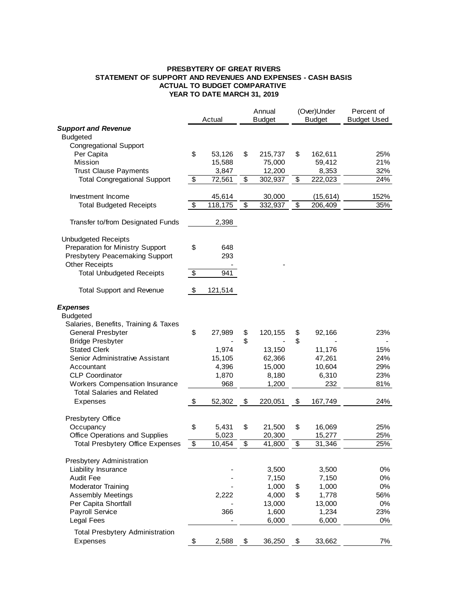#### **PRESBYTERY OF GREAT RIVERS STATEMENT OF SUPPORT AND REVENUES AND EXPENSES - CASH BASIS ACTUAL TO BUDGET COMPARATIVE YEAR TO DATE MARCH 31, 2019**

|                                         |                                  |         | Annual<br>Actual<br><b>Budget</b> |         | (Over)Under<br><b>Budget</b> |           | Percent of<br><b>Budget Used</b> |  |
|-----------------------------------------|----------------------------------|---------|-----------------------------------|---------|------------------------------|-----------|----------------------------------|--|
| <b>Support and Revenue</b>              |                                  |         |                                   |         |                              |           |                                  |  |
| <b>Budgeted</b>                         |                                  |         |                                   |         |                              |           |                                  |  |
| <b>Congregational Support</b>           |                                  |         |                                   |         |                              |           |                                  |  |
| Per Capita                              | \$                               | 53,126  | \$                                | 215,737 | \$                           | 162,611   | 25%                              |  |
| Mission                                 |                                  | 15,588  |                                   | 75,000  |                              | 59,412    | 21%                              |  |
| <b>Trust Clause Payments</b>            |                                  | 3,847   |                                   | 12,200  |                              | 8,353     | 32%                              |  |
| <b>Total Congregational Support</b>     | $\boldsymbol{\mathsf{S}}$        | 72,561  | \$                                | 302,937 | \$                           | 222,023   | 24%                              |  |
|                                         |                                  |         |                                   |         |                              |           |                                  |  |
| Investment Income                       |                                  | 45,614  |                                   | 30,000  |                              | (15, 614) | 152%                             |  |
| <b>Total Budgeted Receipts</b>          | $\overline{\$}$                  | 118,175 | $\overline{\mathcal{L}}$          | 332,937 | $\overline{\mathcal{L}}$     | 206,409   | 35%                              |  |
|                                         |                                  |         |                                   |         |                              |           |                                  |  |
| Transfer to/from Designated Funds       |                                  | 2,398   |                                   |         |                              |           |                                  |  |
| <b>Unbudgeted Receipts</b>              |                                  |         |                                   |         |                              |           |                                  |  |
| Preparation for Ministry Support        | \$                               | 648     |                                   |         |                              |           |                                  |  |
| Presbytery Peacemaking Support          |                                  | 293     |                                   |         |                              |           |                                  |  |
| <b>Other Receipts</b>                   |                                  |         |                                   |         |                              |           |                                  |  |
| <b>Total Unbudgeted Receipts</b>        | $\overline{\boldsymbol{\theta}}$ | 941     |                                   |         |                              |           |                                  |  |
|                                         |                                  |         |                                   |         |                              |           |                                  |  |
| <b>Total Support and Revenue</b>        | \$                               | 121,514 |                                   |         |                              |           |                                  |  |
| <b>Expenses</b>                         |                                  |         |                                   |         |                              |           |                                  |  |
| <b>Budgeted</b>                         |                                  |         |                                   |         |                              |           |                                  |  |
| Salaries, Benefits, Training & Taxes    |                                  |         |                                   |         |                              |           |                                  |  |
| <b>General Presbyter</b>                | \$                               | 27,989  | \$                                | 120,155 | \$                           | 92,166    | 23%                              |  |
| <b>Bridge Presbyter</b>                 |                                  |         | \$                                |         | \$                           |           |                                  |  |
| <b>Stated Clerk</b>                     |                                  | 1,974   |                                   | 13,150  |                              | 11,176    | 15%                              |  |
| Senior Administrative Assistant         |                                  | 15,105  |                                   | 62,366  |                              | 47,261    | 24%                              |  |
| Accountant                              |                                  | 4,396   |                                   | 15,000  |                              | 10,604    | 29%                              |  |
| <b>CLP Coordinator</b>                  |                                  | 1,870   |                                   | 8,180   |                              | 6,310     | 23%                              |  |
| <b>Workers Compensation Insurance</b>   |                                  | 968     |                                   | 1,200   |                              | 232       | 81%                              |  |
| <b>Total Salaries and Related</b>       |                                  |         |                                   |         |                              |           |                                  |  |
| Expenses                                | $\boldsymbol{\theta}$            | 52,302  | \$                                | 220,051 | \$                           | 167,749   | 24%                              |  |
|                                         |                                  |         |                                   |         |                              |           |                                  |  |
| Presbytery Office                       |                                  |         |                                   |         |                              |           |                                  |  |
| Occupancy                               | \$                               | 5,431   | \$                                | 21,500  | \$                           | 16,069    | 25%                              |  |
| Office Operations and Supplies          |                                  | 5,023   |                                   | 20,300  |                              | 15,277    | 25%                              |  |
| <b>Total Presbytery Office Expenses</b> | \$                               | 10,454  | \$                                | 41,800  | \$                           | 31,346    | 25%                              |  |
| Presbytery Administration               |                                  |         |                                   |         |                              |           |                                  |  |
| Liability Insurance                     |                                  |         |                                   | 3,500   |                              | 3,500     | $0\%$                            |  |
| <b>Audit Fee</b>                        |                                  |         |                                   | 7,150   |                              | 7,150     | 0%                               |  |
| <b>Moderator Training</b>               |                                  |         |                                   | 1,000   | \$                           | 1,000     | $0\%$                            |  |
| <b>Assembly Meetings</b>                |                                  | 2,222   |                                   | 4,000   | \$                           | 1,778     | 56%                              |  |
|                                         |                                  |         |                                   |         |                              |           |                                  |  |
| Per Capita Shortfall                    |                                  |         |                                   | 13,000  |                              | 13,000    | 0%                               |  |
| Payroll Service                         |                                  | 366     |                                   | 1,600   |                              | 1,234     | 23%                              |  |
| Legal Fees                              |                                  |         |                                   | 6,000   |                              | 6,000     | 0%                               |  |
| <b>Total Presbytery Administration</b>  |                                  |         |                                   |         |                              |           |                                  |  |
| Expenses                                | \$                               | 2,588   | \$                                | 36,250  | \$                           | 33,662    | 7%                               |  |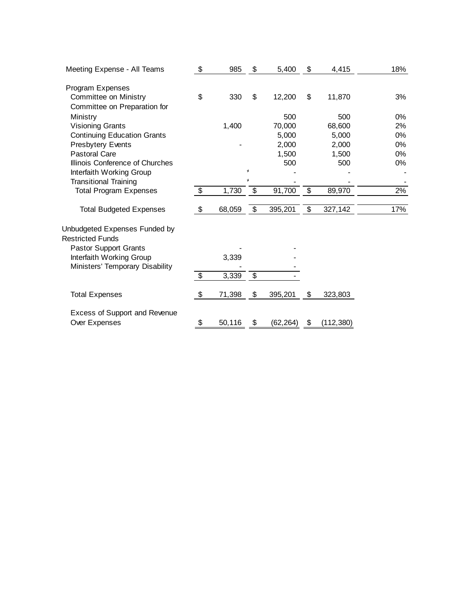| Meeting Expense - All Teams                           | \$                         | 985    | \$      | 5,400    | \$<br>4,415      | 18%   |
|-------------------------------------------------------|----------------------------|--------|---------|----------|------------------|-------|
| Program Expenses                                      |                            |        |         |          |                  |       |
| Committee on Ministry<br>Committee on Preparation for | \$                         | 330    | \$      | 12,200   | \$<br>11,870     | 3%    |
| Ministry                                              |                            |        |         | 500      | 500              | $0\%$ |
| <b>Visioning Grants</b>                               |                            | 1,400  |         | 70,000   | 68,600           | 2%    |
| <b>Continuing Education Grants</b>                    |                            |        |         | 5,000    | 5,000            | 0%    |
| <b>Presbytery Events</b>                              |                            |        |         | 2,000    | 2,000            | 0%    |
| <b>Pastoral Care</b>                                  |                            |        |         | 1,500    | 1,500            | 0%    |
| Illinois Conference of Churches                       |                            |        |         | 500      | 500              | 0%    |
| Interfaith Working Group                              |                            |        | $\star$ |          |                  |       |
| <b>Transitional Training</b>                          |                            |        | ¥       |          |                  |       |
| <b>Total Program Expenses</b>                         | $\boldsymbol{\mathsf{\$}}$ | 1,730  | \$      | 91,700   | \$<br>89,970     | 2%    |
| <b>Total Budgeted Expenses</b>                        | \$                         | 68,059 | \$      | 395,201  | \$<br>327,142    | 17%   |
| Unbudgeted Expenses Funded by                         |                            |        |         |          |                  |       |
| <b>Restricted Funds</b>                               |                            |        |         |          |                  |       |
| <b>Pastor Support Grants</b>                          |                            |        |         |          |                  |       |
| Interfaith Working Group                              |                            | 3,339  |         |          |                  |       |
| Ministers' Temporary Disability                       |                            |        |         |          |                  |       |
|                                                       | $\sqrt[6]{2}$              | 3,339  | \$      |          |                  |       |
| <b>Total Expenses</b>                                 | \$                         | 71,398 | \$      | 395,201  | \$<br>323,803    |       |
| Excess of Support and Revenue                         |                            |        |         |          |                  |       |
| Over Expenses                                         | \$                         | 50,116 | \$      | (62,264) | \$<br>(112, 380) |       |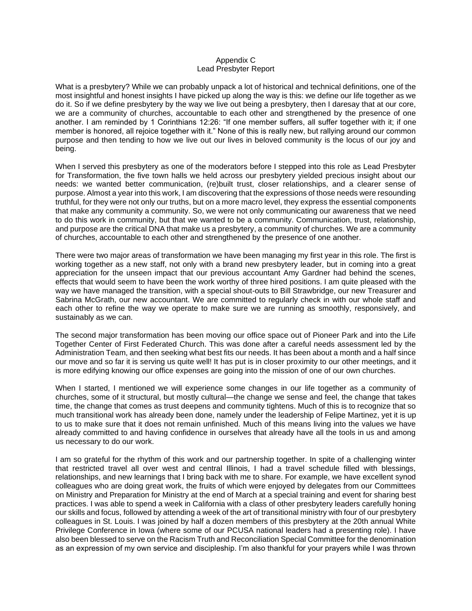### Appendix C Lead Presbyter Report

What is a presbytery? While we can probably unpack a lot of historical and technical definitions, one of the most insightful and honest insights I have picked up along the way is this: we define our life together as we do it. So if we define presbytery by the way we live out being a presbytery, then I daresay that at our core, we are a community of churches, accountable to each other and strengthened by the presence of one another. I am reminded by 1 Corinthians 12:26: "If one member suffers, all suffer together with it; if one member is honored, all rejoice together with it." None of this is really new, but rallying around our common purpose and then tending to how we live out our lives in beloved community is the locus of our joy and being.

When I served this presbytery as one of the moderators before I stepped into this role as Lead Presbyter for Transformation, the five town halls we held across our presbytery yielded precious insight about our needs: we wanted better communication, (re)built trust, closer relationships, and a clearer sense of purpose. Almost a year into this work, I am discovering that the expressions of those needs were resounding truthful, for they were not only our truths, but on a more macro level, they express the essential components that make any community a community. So, we were not only communicating our awareness that we need to do this work in community, but that we wanted to be a community. Communication, trust, relationship, and purpose are the critical DNA that make us a presbytery, a community of churches. We are a community of churches, accountable to each other and strengthened by the presence of one another.

There were two major areas of transformation we have been managing my first year in this role. The first is working together as a new staff, not only with a brand new presbytery leader, but in coming into a great appreciation for the unseen impact that our previous accountant Amy Gardner had behind the scenes, effects that would seem to have been the work worthy of three hired positions. I am quite pleased with the way we have managed the transition, with a special shout-outs to Bill Strawbridge, our new Treasurer and Sabrina McGrath, our new accountant. We are committed to regularly check in with our whole staff and each other to refine the way we operate to make sure we are running as smoothly, responsively, and sustainably as we can.

The second major transformation has been moving our office space out of Pioneer Park and into the Life Together Center of First Federated Church. This was done after a careful needs assessment led by the Administration Team, and then seeking what best fits our needs. It has been about a month and a half since our move and so far it is serving us quite well! It has put is in closer proximity to our other meetings, and it is more edifying knowing our office expenses are going into the mission of one of our own churches.

When I started, I mentioned we will experience some changes in our life together as a community of churches, some of it structural, but mostly cultural—the change we sense and feel, the change that takes time, the change that comes as trust deepens and community tightens. Much of this is to recognize that so much transitional work has already been done, namely under the leadership of Felipe Martinez, yet it is up to us to make sure that it does not remain unfinished. Much of this means living into the values we have already committed to and having confidence in ourselves that already have all the tools in us and among us necessary to do our work.

I am so grateful for the rhythm of this work and our partnership together. In spite of a challenging winter that restricted travel all over west and central Illinois, I had a travel schedule filled with blessings, relationships, and new learnings that I bring back with me to share. For example, we have excellent synod colleagues who are doing great work, the fruits of which were enjoyed by delegates from our Committees on Ministry and Preparation for Ministry at the end of March at a special training and event for sharing best practices. I was able to spend a week in California with a class of other presbytery leaders carefully honing our skills and focus, followed by attending a week of the art of transitional ministry with four of our presbytery colleagues in St. Louis. I was joined by half a dozen members of this presbytery at the 20th annual White Privilege Conference in Iowa (where some of our PCUSA national leaders had a presenting role). I have also been blessed to serve on the Racism Truth and Reconciliation Special Committee for the denomination as an expression of my own service and discipleship. I'm also thankful for your prayers while I was thrown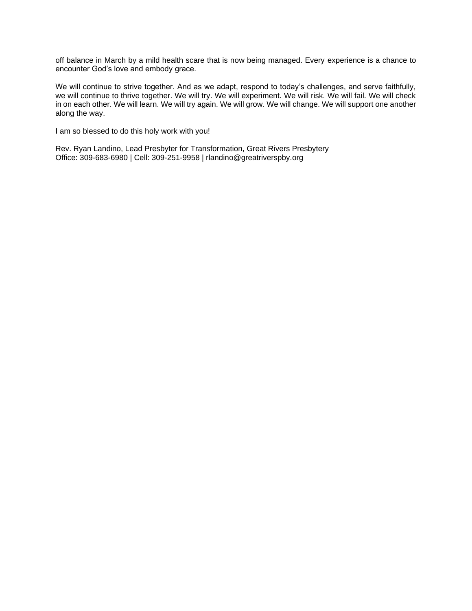off balance in March by a mild health scare that is now being managed. Every experience is a chance to encounter God's love and embody grace.

We will continue to strive together. And as we adapt, respond to today's challenges, and serve faithfully, we will continue to thrive together. We will try. We will experiment. We will risk. We will fail. We will check in on each other. We will learn. We will try again. We will grow. We will change. We will support one another along the way.

I am so blessed to do this holy work with you!

Rev. Ryan Landino, Lead Presbyter for Transformation, Great Rivers Presbytery Office: 309-683-6980 | Cell: 309-251-9958 | rlandino@greatriverspby.org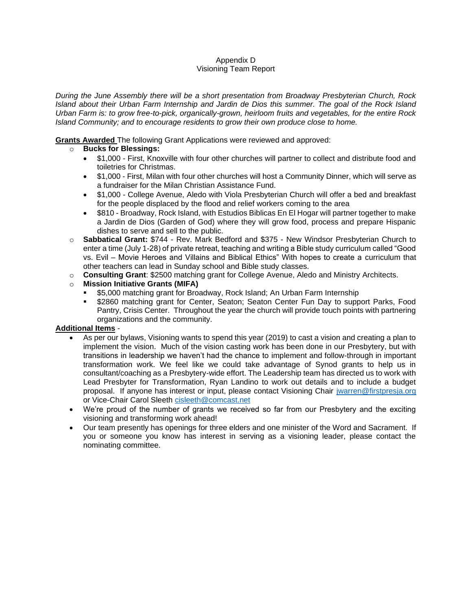#### Appendix D Visioning Team Report

*During the June Assembly there will be a short presentation from Broadway Presbyterian Church, Rock Island about their Urban Farm Internship and Jardin de Dios this summer. The goal of the Rock Island Urban Farm is: to grow free-to-pick, organically-grown, heirloom fruits and vegetables, for the entire Rock Island Community; and to encourage residents to grow their own produce close to home.* 

# **Grants Awarded** The following Grant Applications were reviewed and approved:

# o **Bucks for Blessings:**

- \$1,000 First, Knoxville with four other churches will partner to collect and distribute food and toiletries for Christmas.
- \$1,000 First, Milan with four other churches will host a Community Dinner, which will serve as a fundraiser for the Milan Christian Assistance Fund.
- \$1,000 College Avenue, Aledo with Viola Presbyterian Church will offer a bed and breakfast for the people displaced by the flood and relief workers coming to the area
- \$810 Broadway, Rock Island, with Estudios Biblicas En El Hogar will partner together to make a Jardin de Dios (Garden of God) where they will grow food, process and prepare Hispanic dishes to serve and sell to the public.
- o **Sabbatical Grant:** \$744 Rev. Mark Bedford and \$375 New Windsor Presbyterian Church to enter a time (July 1-28) of private retreat, teaching and writing a Bible study curriculum called "Good vs. Evil – Movie Heroes and Villains and Biblical Ethics" With hopes to create a curriculum that other teachers can lead in Sunday school and Bible study classes.
- o **Consulting Grant**: \$2500 matching grant for College Avenue, Aledo and Ministry Architects.

# o **Mission Initiative Grants (MIFA)**

- \$5,000 matching grant for Broadway, Rock Island; An Urban Farm Internship
- \$2860 matching grant for Center, Seaton; Seaton Center Fun Day to support Parks, Food Pantry, Crisis Center. Throughout the year the church will provide touch points with partnering organizations and the community.

# **Additional Items** -

- As per our bylaws, Visioning wants to spend this year (2019) to cast a vision and creating a plan to implement the vision. Much of the vision casting work has been done in our Presbytery, but with transitions in leadership we haven't had the chance to implement and follow-through in important transformation work. We feel like we could take advantage of Synod grants to help us in consultant/coaching as a Presbytery-wide effort. The Leadership team has directed us to work with Lead Presbyter for Transformation, Ryan Landino to work out details and to include a budget proposal. If anyone has interest or input, please contact Visioning Chair [jwarren@firstpresja.org](mailto:jwarren@firstpresja.org) or Vice-Chair Carol Sleeth [cisleeth@comcast.net](mailto:cisleeth@comcast.net)
- We're proud of the number of grants we received so far from our Presbytery and the exciting visioning and transforming work ahead!
- Our team presently has openings for three elders and one minister of the Word and Sacrament. If you or someone you know has interest in serving as a visioning leader, please contact the nominating committee.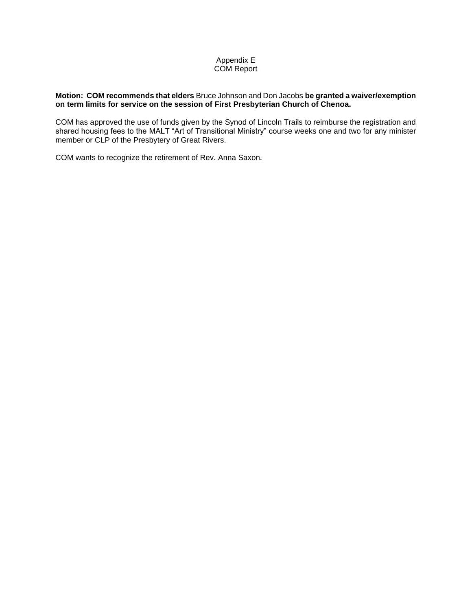# Appendix E COM Report

#### **Motion: COM recommends that elders** Bruce Johnson and Don Jacobs **be granted a waiver/exemption on term limits for service on the session of First Presbyterian Church of Chenoa.**

COM has approved the use of funds given by the Synod of Lincoln Trails to reimburse the registration and shared housing fees to the MALT "Art of Transitional Ministry" course weeks one and two for any minister member or CLP of the Presbytery of Great Rivers.

COM wants to recognize the retirement of Rev. Anna Saxon.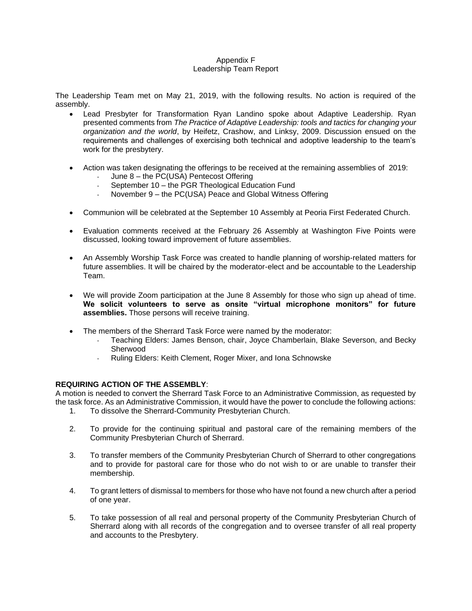### Appendix F Leadership Team Report

The Leadership Team met on May 21, 2019, with the following results. No action is required of the assembly.

- Lead Presbyter for Transformation Ryan Landino spoke about Adaptive Leadership. Ryan presented comments from *The Practice of Adaptive Leadership: tools and tactics for changing your organization and the world*, by Heifetz, Crashow, and Linksy, 2009. Discussion ensued on the requirements and challenges of exercising both technical and adoptive leadership to the team's work for the presbytery.
- Action was taken designating the offerings to be received at the remaining assemblies of 2019: June 8 – the PC(USA) Pentecost Offering
	- September 10 the PGR Theological Education Fund
	- November 9 the PC(USA) Peace and Global Witness Offering
- Communion will be celebrated at the September 10 Assembly at Peoria First Federated Church.
- Evaluation comments received at the February 26 Assembly at Washington Five Points were discussed, looking toward improvement of future assemblies.
- An Assembly Worship Task Force was created to handle planning of worship-related matters for future assemblies. It will be chaired by the moderator-elect and be accountable to the Leadership Team.
- We will provide Zoom participation at the June 8 Assembly for those who sign up ahead of time. **We solicit volunteers to serve as onsite "virtual microphone monitors" for future assemblies.** Those persons will receive training.
- The members of the Sherrard Task Force were named by the moderator:
	- Teaching Elders: James Benson, chair, Joyce Chamberlain, Blake Severson, and Becky Sherwood
	- Ruling Elders: Keith Clement, Roger Mixer, and Iona Schnowske

## **REQUIRING ACTION OF THE ASSEMBLY**:

A motion is needed to convert the Sherrard Task Force to an Administrative Commission, as requested by the task force. As an Administrative Commission, it would have the power to conclude the following actions:

- 1. To dissolve the Sherrard-Community Presbyterian Church.
- 2. To provide for the continuing spiritual and pastoral care of the remaining members of the Community Presbyterian Church of Sherrard.
- 3. To transfer members of the Community Presbyterian Church of Sherrard to other congregations and to provide for pastoral care for those who do not wish to or are unable to transfer their membership.
- 4. To grant letters of dismissal to members for those who have not found a new church after a period of one year.
- 5. To take possession of all real and personal property of the Community Presbyterian Church of Sherrard along with all records of the congregation and to oversee transfer of all real property and accounts to the Presbytery.